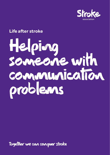

#### **Life after stroke**

# Helping someone with communication problems

Together we can conquer stroke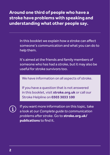**Around one third of people who have a stroke have problems with speaking and understanding what other people say.**

> In this booklet we explain how a stroke can affect someone's communication and what you can do to help them.

It's aimed at the friends and family members of someone who has had a stroke, but it may also be useful for stroke survivors too.

We have information on all aspects of stroke.

If you have a question that is not answered in this booklet, visit **[stroke.org.uk](http://stroke.org.uk)** or call our Stroke Helpline on **0303 3033 100**



If you want more information on this topic, take a look at our *Complete guide to communication problems after stroke*. Go to **[stroke.org.uk/](http://stroke.org.uk/publications) [publications](http://stroke.org.uk/publications)** to find it.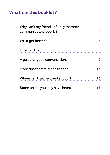#### **What's in this booklet?**

| Why can't my friend or family member                                                                                                                        |        |                                 |    |
|-------------------------------------------------------------------------------------------------------------------------------------------------------------|--------|---------------------------------|----|
| Will it get better?<br>How can I help?<br>A guide to good conversations 9<br>More tips for family and friends 13<br>Where can I get help and support?<br>16 | 6<br>8 |                                 |    |
|                                                                                                                                                             |        | Some terms you may have heard 1 | 18 |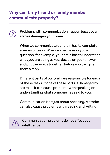#### **Why can't my friend or family member communicate properly?**

Problems with communication happen because a **stroke damages your brain**.

When we communicate our brain has to complete a series of tasks. When someone asks you a question, for example, your brain has to understand what you are being asked, decide on your answer and put the words together, before you can give them a reply.

Different parts of our brain are responsible for each of these tasks. If one of these parts is damaged by a stroke, it can cause problems with speaking or understanding what someone has said to you.

Communication isn't just about speaking. A stroke can also cause problems with reading and writing.



Communication problems do not affect your intelligence.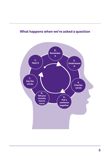

#### **What happens when we're asked a question**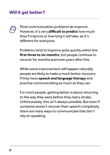#### <span id="page-5-0"></span>**Will it get better?**



Most communication problems do improve. However, it's very **difficult to predict** how much they'll improve or how long it will take, as it's different for everyone.

Problems tend to improve quite quickly within the **first three to six months**, but people continue to recover for months and even years after this.

While some improvement will happen naturally, people are likely to make a much better recovery if they have **speech and language therapy** and practise communicating as much as they can.

For most people, getting better is about returning to the way they were before they had a stroke. Unfortunately, this isn't always possible. But even if someone doesn't recover their speech completely, there are many ways to communicate that don't rely on speaking.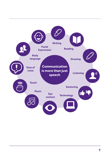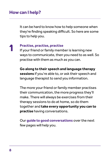#### <span id="page-7-0"></span>**How can I help?**

1

It can be hard to know how to help someone when they're finding speaking difficult. So here are some tips to help you.

#### **Practise, practise, practise**

If your friend or family member is learning new ways to communicate, then you need to as well. So practise with them as much as you can.

**Go along to their speech and language therapy sessions** if you're able to, or ask their speech and language therapist to send you information.

The more your friend or family member practises their communication, the more progress they'll make. There will always be exercises from their therapy sessions to do at home, so do them together and **take every opportunity you can to practise** having conversations.

Our **guide to good conversations** over the next few pages will help you.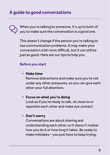<span id="page-8-0"></span>When you're talking to someone, it's up to both of you to make sure the conversation is a good one.

This doesn't change if the person you're talking to has communication problems. It may make your conversation a bit more difficult, but it can still be just as good. Here are our tips to help you.

#### **Before you start**

**• Make time**

Remove distractions and make sure you're not under any other pressures, so you can give each other your full attention.

#### **• Focus on what you're doing**

Look as if you're ready to talk, sit close to or opposite each other and make eye contact.

#### **• Don't worry**

Conversations are about sharing and understanding each other, so it doesn't matter how you do it or how long it takes. Be ready to make mistakes – you just have to keep trying.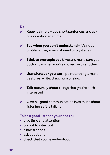#### **Do**

- **Keep it simple**  use short sentences and ask  $\mathbf{z}$ one question at a time.
- **Say when you don't understand** it's not a problem, they may just need to try it again.
- **Stick to one topic at a time** and make sure you  $\boldsymbol{\mathcal{U}}$ both know when you've moved on to another.
- Use whatever vou can point to things, make gestures, write, draw, hum or sing.
- $\boldsymbol{\mathcal{U}}$ **Talk naturally** about things that you're both interested in.
- **Listen** good communication is as much about  $\boldsymbol{\mathcal{U}}$ listening as it is talking.

#### **To be a good listener you need to:**

- **•** give time and attention
- **•** try not to interrupt
- **•** allow silences
- **•** ask questions
- **•** check that you've understood.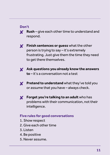#### **Don't**

**Rush** – give each other time to understand and **Y** respond.



**Finish sentences or guess** what the other person is trying to say – it's extremely frustrating. Just give them the time they need to get there themselves.



**Ask questions you already know the answers to** – it's a conversation not a test



**Pretend to understand** what they've told you or assume that you have – always check.



**Forget you're talking to an adult** who has problems with their communication, not their intelligence.

#### **Five rules for good conversations**

- 1. Show respect
- 2. Give each other time
- 3. Listen
- 4. Be positive
- 5. Never assume.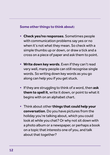#### **Some other things to think about:**

- **• Check yes/no responses**. Sometimes people with communication problems say yes or no when it's not what they mean. So check with a simple thumbs up or down, or draw a tick and a cross on a piece of paper and ask them to point.
- **• Write down key words**. Even if they can't read very well, many people can still recognise single words. So writing down key words as you go along can help you if you get stuck.
- **•** If they are struggling to think of a word, then **ask them to spell it**, write it down, or point to what it begins with on an alphabet chart.
- **•** Think about other **things that could help your conversation**. Do you have pictures from the holiday you're talking about, which you could look at while you chat? Or why not sit down with a photo album or a newspaper, or perhaps a book on a topic that interests one of you, and talk about that together?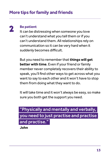#### <span id="page-12-0"></span>**More tips for family and friends**

### 2

#### **Be patient**

It can be distressing when someone you love can't understand what you tell them or if you can't understand them. All relationships rely on communication so it can be very hard when it suddenly becomes difficult.

But you need to remember that **things will get better with time**. Even if your friend or family member never completely recovers their ability to speak, you'll find other ways to get across what you want to say to each other and it won't have to stop them from doing what they want to do.

It will take time and it won't always be easy, so make sure you both get the support you need.

#### "Physically and mentally and verbally, you need to just practise and practise and practise."

**John**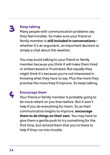## 3

#### **Keep talking**

Many people with communication problems say they feel invisible. So make sure your friend or family member is **still included in conversations** – whether it's an argument, an important decision or simply a chat about the weather.

You may avoid talking to your friend or family member because you think it will make them tired or embarrassed or frustrated. But equally they might think it's because you're not interested in knowing what they have to say. Plus the more they practise the more they'll improve. So keep talking.



#### **Encourage them**

Your friend or family member is probably going to be more reliant on you than before. But it won't help if you do everything for them. So as their communication begins to improve, **encourage them to do things on their own**. You may have to give them a gentle push to try something for the first time, but remind them that you're there to help if they run into trouble.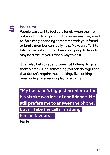## 5

#### **Make time**

People can start to feel very lonely when they're not able to talk or go out in the same way they used to. So simply spending some time with your friend or family member can really help. Make an effort to talk to them about how they are coping. Although it may be difficult, you'll find a way to do it.

It can also help to **spend time not talking**, to give them a break. Find something you can do together that doesn't require much talking, like cooking a meal, going for a walk or playing a game.

"My husband's biggest problem after his stroke was lack of confidence. He still prefers me to answer the phone. But if I take the calls I'm doing him no favours."

**Marie**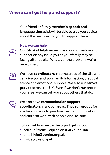<span id="page-15-0"></span>Your friend or family member's **speech and language therapist** will be able to give you advice about the best way for you to support them.

#### **How we can help**



Our **Stroke Helpline** can give you information and support on any issue you or your family may be facing after stroke. Whatever the problem, we're here to help.



We have **coordinators** in some areas of the UK, who can give you and your family information, practical advice and emotional support. We also run **stroke groups** across the UK. Even if we don't run one in your area, we can tell you about others that do.

We also have **communication support coordinators** in a lot of areas. They run groups for stroke survivors to practise their communication and can also work with people one-to-one.

To find out how we can help, just get in touch:

- **•** call our Stroke Helpline on **0303 3033 100**
- **•** email **info@stroke.org.uk**
- **•** visit **[stroke.org.uk](http://stroke.org.uk)**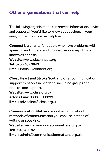The following organisations can provide information, advice and support. If you'd like to know about others in your area, contact our Stroke Helpline.

**Connect** is a charity for people who have problems with speaking and understanding what people say. This is known as aphasia. **Website:** [www.ukconnect.org](http://www.ukconnect.org) **Tel:** 020 7367 0840 **Email:** [info@ukconnect.org](mailto:info%40ukconnect.org%20?subject=) 

**Chest Heart and Stroke Scotland** offer communication support to people in Scotland, including groups and one-to-one support. **Website:** [www.chss.org.uk](http://www.chss.org.uk) **Advice Line:** 0808 801 0899 **Email:** [adviceline@chss.org.uk](mailto:adviceline%40chss.org.uk?subject=) 

**Communication Matters** has information about methods of communication you can use instead of writing or speaking. **Website:** [www.communicationmatters.org.uk](http://www.communicationmatters.org.uk) **Tel:** 0845 456 8211

**Email:** [admin@communicationmatters.org.uk](mailto:admin%40communicationmatters.org.uk?subject=)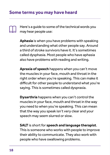#### <span id="page-17-0"></span>**Some terms you may have heard**

Here's a guide to some of the technical words you may hear people use:

**Aphasia** is when you have problems with speaking and understanding what other people say. Around a third of stroke survivors have it. It's sometimes called dysphasia. Most people who have aphasia also have problems with reading and writing.

**Apraxia of speech** happens when you can't move the muscles in your face, mouth and throat in the right order when you're speaking. This can make it difficult for other people to understand what you're saying. This is sometimes called dyspraxia.

**Dysarthria** happens when you can't control the muscles in your face, mouth and throat in the way you need to when you're speaking. This can mean that the way you speak isn't very clear and your speech may seem slurred or slow.

**SALT** is short for **speech and language therapist**. This is someone who works with people to improve their ability to communicate. They also work with people who have swallowing problems.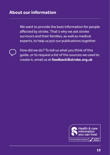We want to provide the best information for people affected by stroke. That's why we ask stroke survivors and their families, as well as medical experts, to help us put our publications together.



How did we do? To tell us what you think of this guide, or to request a list of the sources we used to create it, email us at **[feedback@stroke.org.uk](mailto:feedback%40stroke.org.uk?subject=Feedback%3A%20Depression%20and%20other%20emotional%20changes%20booklet)**